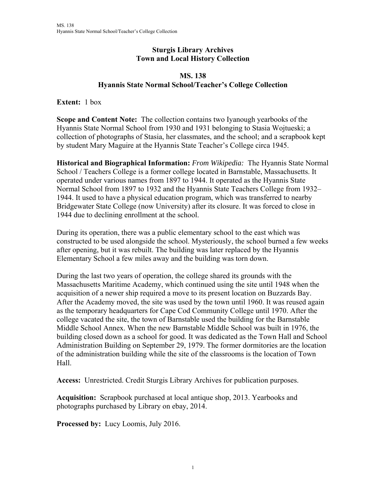## **Sturgis Library Archives Town and Local History Collection**

## **MS. 138 Hyannis State Normal School/Teacher's College Collection**

**Extent:** 1 box

**Scope and Content Note:** The collection contains two Iyanough yearbooks of the Hyannis State Normal School from 1930 and 1931 belonging to Stasia Wojtueski; a collection of photographs of Stasia, her classmates, and the school; and a scrapbook kept by student Mary Maguire at the Hyannis State Teacher's College circa 1945.

**Historical and Biographical Information:** *From Wikipedia:* The Hyannis State Normal School / Teachers College is a former college located in Barnstable, Massachusetts. It operated under various names from 1897 to 1944. It operated as the Hyannis State Normal School from 1897 to 1932 and the Hyannis State Teachers College from 1932– 1944. It used to have a physical education program, which was transferred to nearby Bridgewater State College (now University) after its closure. It was forced to close in 1944 due to declining enrollment at the school.

During its operation, there was a public elementary school to the east which was constructed to be used alongside the school. Mysteriously, the school burned a few weeks after opening, but it was rebuilt. The building was later replaced by the Hyannis Elementary School a few miles away and the building was torn down.

During the last two years of operation, the college shared its grounds with the Massachusetts Maritime Academy, which continued using the site until 1948 when the acquisition of a newer ship required a move to its present location on Buzzards Bay. After the Academy moved, the site was used by the town until 1960. It was reused again as the temporary headquarters for Cape Cod Community College until 1970. After the college vacated the site, the town of Barnstable used the building for the Barnstable Middle School Annex. When the new Barnstable Middle School was built in 1976, the building closed down as a school for good. It was dedicated as the Town Hall and School Administration Building on September 29, 1979. The former dormitories are the location of the administration building while the site of the classrooms is the location of Town Hall.

**Access:** Unrestricted. Credit Sturgis Library Archives for publication purposes.

**Acquisition:** Scrapbook purchased at local antique shop, 2013. Yearbooks and photographs purchased by Library on ebay, 2014.

**Processed by:** Lucy Loomis, July 2016.